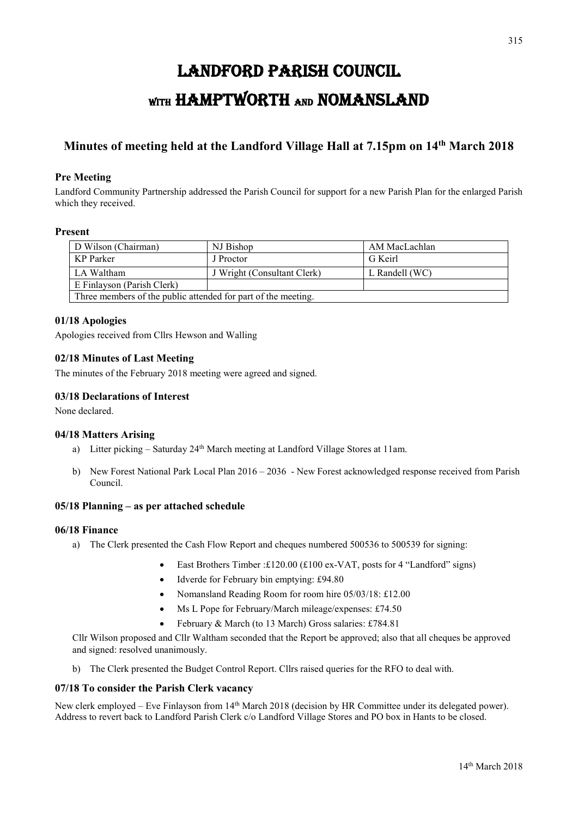# LANDFORD PARISH COUNCIL WITH HAMPTWORTH AND NOMANSLAND

## **Minutes of meeting held at the Landford Village Hall at 7.15pm on 14th March 2018**

#### **Pre Meeting**

Landford Community Partnership addressed the Parish Council for support for a new Parish Plan for the enlarged Parish which they received.

#### **Present**

| D Wilson (Chairman)                                           | NJ Bishop                   | AM MacLachlan    |
|---------------------------------------------------------------|-----------------------------|------------------|
| KP Parker                                                     | J Proctor                   | G Keirl          |
| LA Waltham                                                    | J Wright (Consultant Clerk) | L Randell $(WC)$ |
| E Finlayson (Parish Clerk)                                    |                             |                  |
| Three members of the public attended for part of the meeting. |                             |                  |

#### **01/18 Apologies**

Apologies received from Cllrs Hewson and Walling

#### **02/18 Minutes of Last Meeting**

The minutes of the February 2018 meeting were agreed and signed.

#### **03/18 Declarations of Interest**

None declared.

#### **04/18 Matters Arising**

- a) Litter picking Saturday 24<sup>th</sup> March meeting at Landford Village Stores at 11am.
- b) New Forest National Park Local Plan 2016 2036 New Forest acknowledged response received from Parish Council.

#### **05/18 Planning – as per attached schedule**

#### **06/18 Finance**

- a) The Clerk presented the Cash Flow Report and cheques numbered 500536 to 500539 for signing:
	- East Brothers Timber :£120.00 (£100 ex-VAT, posts for 4 "Landford" signs)
	- Idverde for February bin emptying: £94.80
	- Nomansland Reading Room for room hire 05/03/18: £12.00
	- Ms L Pope for February/March mileage/expenses: £74.50
	- February & March (to 13 March) Gross salaries: £784.81

Cllr Wilson proposed and Cllr Waltham seconded that the Report be approved; also that all cheques be approved and signed: resolved unanimously.

b) The Clerk presented the Budget Control Report. Cllrs raised queries for the RFO to deal with.

#### **07/18 To consider the Parish Clerk vacancy**

New clerk employed – Eve Finlayson from 14th March 2018 (decision by HR Committee under its delegated power). Address to revert back to Landford Parish Clerk c/o Landford Village Stores and PO box in Hants to be closed.